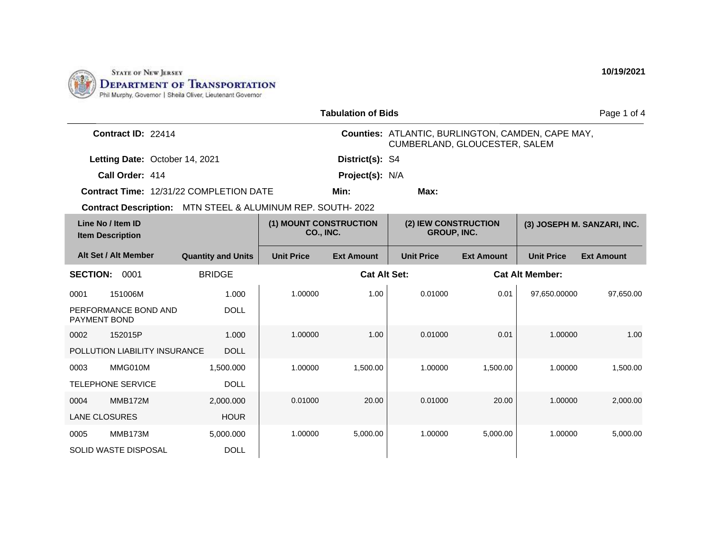

| <b>Tabulation of Bids</b>                      |                                       |                                            |                                                                                           |                                            |                   | Page 1 of 4            |                             |
|------------------------------------------------|---------------------------------------|--------------------------------------------|-------------------------------------------------------------------------------------------|--------------------------------------------|-------------------|------------------------|-----------------------------|
| Contract ID: 22414                             |                                       |                                            | <b>Counties: ATLANTIC, BURLINGTON, CAMDEN, CAPE MAY,</b><br>CUMBERLAND, GLOUCESTER, SALEM |                                            |                   |                        |                             |
| Letting Date: October 14, 2021                 |                                       |                                            | District(s): S4                                                                           |                                            |                   |                        |                             |
| Call Order: 414                                |                                       | Project(s): N/A                            |                                                                                           |                                            |                   |                        |                             |
| <b>Contract Time: 12/31/22 COMPLETION DATE</b> |                                       |                                            | Min:                                                                                      | Max:                                       |                   |                        |                             |
| <b>Contract Description:</b>                   | MTN STEEL & ALUMINUM REP. SOUTH- 2022 |                                            |                                                                                           |                                            |                   |                        |                             |
| Line No / Item ID<br><b>Item Description</b>   |                                       | (1) MOUNT CONSTRUCTION<br><b>CO., INC.</b> |                                                                                           | (2) IEW CONSTRUCTION<br><b>GROUP, INC.</b> |                   |                        | (3) JOSEPH M. SANZARI, INC. |
| Alt Set / Alt Member                           | <b>Quantity and Units</b>             | <b>Unit Price</b>                          | <b>Ext Amount</b>                                                                         | <b>Unit Price</b>                          | <b>Ext Amount</b> | <b>Unit Price</b>      | <b>Ext Amount</b>           |
| <b>SECTION:</b><br>0001                        | <b>BRIDGE</b>                         |                                            | <b>Cat Alt Set:</b>                                                                       |                                            |                   | <b>Cat Alt Member:</b> |                             |
| 151006M<br>0001                                | 1.000                                 | 1.00000                                    | 1.00                                                                                      | 0.01000                                    | 0.01              | 97,650.00000           | 97,650.00                   |
| PERFORMANCE BOND AND<br>PAYMENT BOND           | <b>DOLL</b>                           |                                            |                                                                                           |                                            |                   |                        |                             |
| 152015P<br>0002                                | 1.000                                 | 1.00000                                    | 1.00                                                                                      | 0.01000                                    | 0.01              | 1.00000                | 1.00                        |
| POLLUTION LIABILITY INSURANCE                  | <b>DOLL</b>                           |                                            |                                                                                           |                                            |                   |                        |                             |
| MMG010M<br>0003                                | 1,500.000                             | 1.00000                                    | 1,500.00                                                                                  | 1.00000                                    | 1,500.00          | 1.00000                | 1,500.00                    |
| <b>TELEPHONE SERVICE</b>                       | <b>DOLL</b>                           |                                            |                                                                                           |                                            |                   |                        |                             |
| MMB172M<br>0004                                | 2.000.000                             | 0.01000                                    | 20.00                                                                                     | 0.01000                                    | 20.00             | 1.00000                | 2,000.00                    |
| <b>LANE CLOSURES</b>                           | <b>HOUR</b>                           |                                            |                                                                                           |                                            |                   |                        |                             |
| MMB173M<br>0005                                | 5,000.000                             | 1.00000                                    | 5,000.00                                                                                  | 1.00000                                    | 5,000.00          | 1.00000                | 5,000.00                    |
| SOLID WASTE DISPOSAL                           | <b>DOLL</b>                           |                                            |                                                                                           |                                            |                   |                        |                             |
|                                                |                                       |                                            |                                                                                           |                                            |                   |                        |                             |

**10/19/2021**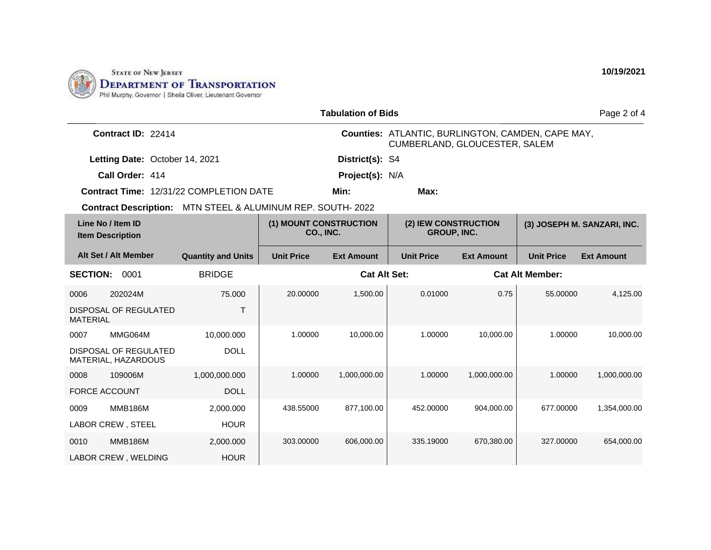

| <b>Tabulation of Bids</b>                                   |                           |                                            |                   |                                                                                           |                   |                             | Page 2 of 4       |
|-------------------------------------------------------------|---------------------------|--------------------------------------------|-------------------|-------------------------------------------------------------------------------------------|-------------------|-----------------------------|-------------------|
| Contract ID: 22414                                          |                           |                                            |                   | <b>Counties: ATLANTIC, BURLINGTON, CAMDEN, CAPE MAY,</b><br>CUMBERLAND, GLOUCESTER, SALEM |                   |                             |                   |
| Letting Date: October 14, 2021                              |                           |                                            | District(s): S4   |                                                                                           |                   |                             |                   |
| Call Order: 414                                             |                           |                                            | Project(s): N/A   |                                                                                           |                   |                             |                   |
| <b>Contract Time: 12/31/22 COMPLETION DATE</b>              |                           | Min:<br>Max:                               |                   |                                                                                           |                   |                             |                   |
| Contract Description: MTN STEEL & ALUMINUM REP. SOUTH- 2022 |                           |                                            |                   |                                                                                           |                   |                             |                   |
| Line No / Item ID<br><b>Item Description</b>                |                           | (1) MOUNT CONSTRUCTION<br><b>CO., INC.</b> |                   | (2) IEW CONSTRUCTION<br><b>GROUP, INC.</b>                                                |                   | (3) JOSEPH M. SANZARI, INC. |                   |
| Alt Set / Alt Member                                        | <b>Quantity and Units</b> | <b>Unit Price</b>                          | <b>Ext Amount</b> | <b>Unit Price</b>                                                                         | <b>Ext Amount</b> | <b>Unit Price</b>           | <b>Ext Amount</b> |
| <b>SECTION:</b><br>0001<br><b>BRIDGE</b>                    |                           | <b>Cat Alt Set:</b>                        |                   |                                                                                           |                   | <b>Cat Alt Member:</b>      |                   |
| 202024M<br>0006                                             | 75,000                    | 20.00000                                   | 1,500.00          | 0.01000                                                                                   | 0.75              | 55.00000                    | 4,125.00          |
| DISPOSAL OF REGULATED<br><b>MATERIAL</b>                    | T                         |                                            |                   |                                                                                           |                   |                             |                   |
| MMG064M<br>0007                                             | 10.000.000                | 1.00000                                    | 10,000.00         | 1.00000                                                                                   | 10,000.00         | 1.00000                     | 10,000.00         |
| <b>DISPOSAL OF REGULATED</b><br>MATERIAL, HAZARDOUS         | <b>DOLL</b>               |                                            |                   |                                                                                           |                   |                             |                   |
| 109006M<br>0008                                             | 1,000,000.000             | 1.00000                                    | 1,000,000.00      | 1.00000                                                                                   | 1.000.000.00      | 1.00000                     | 1,000,000.00      |
| <b>FORCE ACCOUNT</b>                                        | <b>DOLL</b>               |                                            |                   |                                                                                           |                   |                             |                   |
| <b>MMB186M</b><br>0009                                      | 2,000.000                 | 438.55000                                  | 877,100.00        | 452.00000                                                                                 | 904,000.00        | 677.00000                   | 1,354,000.00      |
| <b>LABOR CREW, STEEL</b>                                    | <b>HOUR</b>               |                                            |                   |                                                                                           |                   |                             |                   |
| <b>MMB186M</b><br>0010                                      | 2,000.000                 | 303.00000                                  | 606,000.00        | 335.19000                                                                                 | 670,380.00        | 327.00000                   | 654,000.00        |
| LABOR CREW, WELDING                                         | <b>HOUR</b>               |                                            |                   |                                                                                           |                   |                             |                   |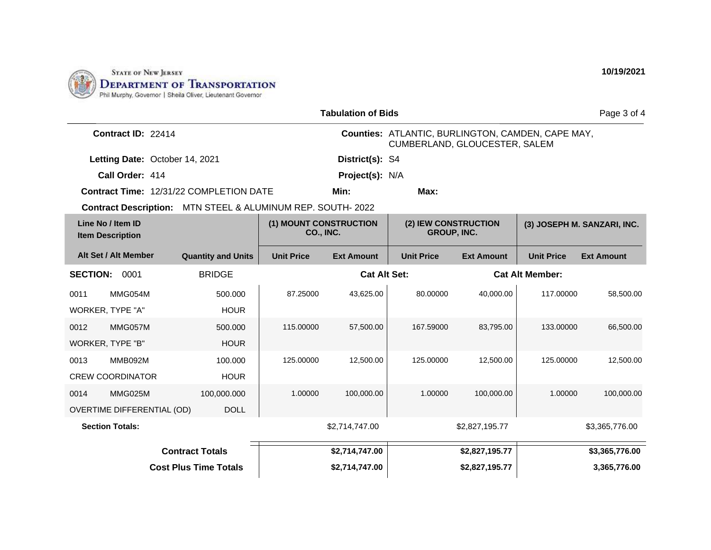

| <b>Tabulation of Bids</b>                    |                                   |                                                             |                     |                                                                                    |                        | Page 3 of 4                 |                   |                   |
|----------------------------------------------|-----------------------------------|-------------------------------------------------------------|---------------------|------------------------------------------------------------------------------------|------------------------|-----------------------------|-------------------|-------------------|
| Contract ID: 22414                           |                                   |                                                             |                     | Counties: ATLANTIC, BURLINGTON, CAMDEN, CAPE MAY,<br>CUMBERLAND, GLOUCESTER, SALEM |                        |                             |                   |                   |
|                                              | Letting Date: October 14, 2021    |                                                             |                     | District(s): S4                                                                    |                        |                             |                   |                   |
| Call Order: 414                              |                                   |                                                             |                     | Project(s): N/A                                                                    |                        |                             |                   |                   |
|                                              |                                   | <b>Contract Time: 12/31/22 COMPLETION DATE</b>              |                     | Min:                                                                               | Max:                   |                             |                   |                   |
|                                              |                                   | Contract Description: MTN STEEL & ALUMINUM REP. SOUTH- 2022 |                     |                                                                                    |                        |                             |                   |                   |
| Line No / Item ID<br><b>Item Description</b> |                                   | (1) MOUNT CONSTRUCTION<br>CO., INC.                         |                     | (2) IEW CONSTRUCTION<br><b>GROUP, INC.</b>                                         |                        | (3) JOSEPH M. SANZARI, INC. |                   |                   |
| Alt Set / Alt Member                         |                                   | <b>Quantity and Units</b>                                   | <b>Unit Price</b>   | <b>Ext Amount</b>                                                                  | <b>Unit Price</b>      | <b>Ext Amount</b>           | <b>Unit Price</b> | <b>Ext Amount</b> |
| <b>SECTION:</b><br>0001<br><b>BRIDGE</b>     |                                   |                                                             | <b>Cat Alt Set:</b> |                                                                                    | <b>Cat Alt Member:</b> |                             |                   |                   |
| 0011                                         | MMG054M                           | 500.000                                                     | 87.25000            | 43,625.00                                                                          | 80.00000               | 40,000.00                   | 117.00000         | 58,500.00         |
| WORKER, TYPE "A"                             |                                   | <b>HOUR</b>                                                 |                     |                                                                                    |                        |                             |                   |                   |
| 0012                                         | MMG057M                           | 500.000                                                     | 115.00000           | 57,500.00                                                                          | 167.59000              | 83,795.00                   | 133.00000         | 66,500.00         |
| WORKER, TYPE "B"                             |                                   | <b>HOUR</b>                                                 |                     |                                                                                    |                        |                             |                   |                   |
| 0013                                         | <b>MMB092M</b>                    | 100.000                                                     | 125.00000           | 12.500.00                                                                          | 125.00000              | 12.500.00                   | 125.00000         | 12,500.00         |
| <b>CREW COORDINATOR</b>                      |                                   | <b>HOUR</b>                                                 |                     |                                                                                    |                        |                             |                   |                   |
| 0014                                         | MMG025M                           | 100,000.000                                                 | 1.00000             | 100,000.00                                                                         | 1.00000                | 100,000.00                  | 1.00000           | 100,000.00        |
|                                              | <b>OVERTIME DIFFERENTIAL (OD)</b> | <b>DOLL</b>                                                 |                     |                                                                                    |                        |                             |                   |                   |
| <b>Section Totals:</b>                       |                                   |                                                             |                     | \$2,714,747.00                                                                     |                        | \$2,827,195.77              |                   | \$3,365,776.00    |
| <b>Contract Totals</b>                       |                                   |                                                             |                     | \$2,714,747.00                                                                     |                        | \$2,827,195.77              |                   | \$3,365,776.00    |
| <b>Cost Plus Time Totals</b>                 |                                   |                                                             | \$2,714,747.00      |                                                                                    | \$2,827,195.77         |                             | 3,365,776.00      |                   |

**10/19/2021**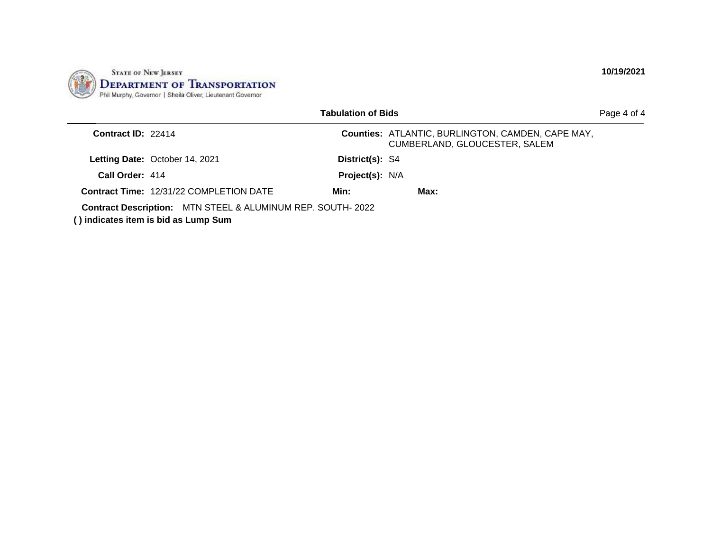

|                    |                                                                                                               | <b>Tabulation of Bids</b> |                                                                                           | Page 4 of 4 |
|--------------------|---------------------------------------------------------------------------------------------------------------|---------------------------|-------------------------------------------------------------------------------------------|-------------|
| Contract ID: 22414 |                                                                                                               |                           | <b>Counties: ATLANTIC, BURLINGTON, CAMDEN, CAPE MAY,</b><br>CUMBERLAND, GLOUCESTER, SALEM |             |
|                    | Letting Date: October 14, 2021                                                                                | District(s): S4           |                                                                                           |             |
| Call Order: 414    |                                                                                                               | Project(s): N/A           |                                                                                           |             |
|                    | <b>Contract Time: 12/31/22 COMPLETION DATE</b>                                                                | Min:                      | Max:                                                                                      |             |
|                    | <b>Contract Description: MTN STEEL &amp; ALUMINUM REP. SOUTH-2022</b><br>() indicates item is bid as Lump Sum |                           |                                                                                           |             |